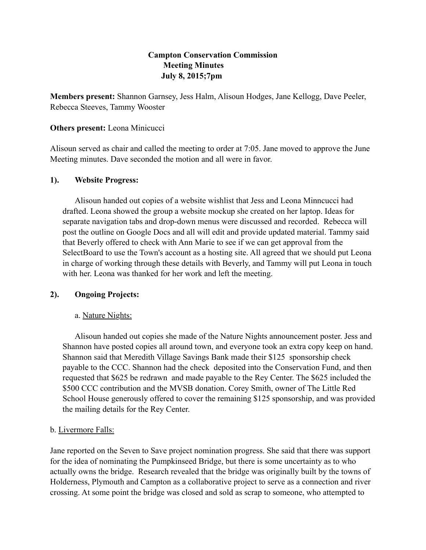# **Campton Conservation Commission Meeting Minutes July 8, 2015;7pm**

**Members present:** Shannon Garnsey, Jess Halm, Alisoun Hodges, Jane Kellogg, Dave Peeler, Rebecca Steeves, Tammy Wooster

### **Others present:** Leona Minicucci

Alisoun served as chair and called the meeting to order at 7:05. Jane moved to approve the June Meeting minutes. Dave seconded the motion and all were in favor.

### **1). Website Progress:**

Alisoun handed out copies of a website wishlist that Jess and Leona Minncucci had drafted. Leona showed the group a website mockup she created on her laptop. Ideas for separate navigation tabs and drop-down menus were discussed and recorded. Rebecca will post the outline on Google Docs and all will edit and provide updated material. Tammy said that Beverly offered to check with Ann Marie to see if we can get approval from the SelectBoard to use the Town's account as a hosting site. All agreed that we should put Leona in charge of working through these details with Beverly, and Tammy will put Leona in touch with her. Leona was thanked for her work and left the meeting.

## **2). Ongoing Projects:**

#### a. Nature Nights:

Alisoun handed out copies she made of the Nature Nights announcement poster. Jess and Shannon have posted copies all around town, and everyone took an extra copy keep on hand. Shannon said that Meredith Village Savings Bank made their \$125 sponsorship check payable to the CCC. Shannon had the check deposited into the Conservation Fund, and then requested that \$625 be redrawn and made payable to the Rey Center. The \$625 included the \$500 CCC contribution and the MVSB donation. Corey Smith, owner of The Little Red School House generously offered to cover the remaining \$125 sponsorship, and was provided the mailing details for the Rey Center.

#### b. Livermore Falls:

Jane reported on the Seven to Save project nomination progress. She said that there was support for the idea of nominating the Pumpkinseed Bridge, but there is some uncertainty as to who actually owns the bridge. Research revealed that the bridge was originally built by the towns of Holderness, Plymouth and Campton as a collaborative project to serve as a connection and river crossing. At some point the bridge was closed and sold as scrap to someone, who attempted to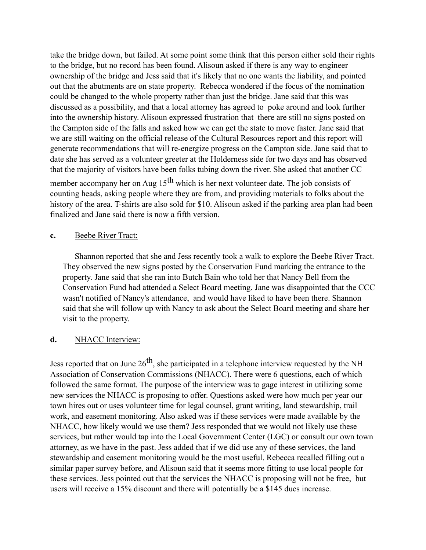take the bridge down, but failed. At some point some think that this person either sold their rights to the bridge, but no record has been found. Alisoun asked if there is any way to engineer ownership of the bridge and Jess said that it's likely that no one wants the liability, and pointed out that the abutments are on state property. Rebecca wondered if the focus of the nomination could be changed to the whole property rather than just the bridge. Jane said that this was discussed as a possibility, and that a local attorney has agreed to poke around and look further into the ownership history. Alisoun expressed frustration that there are still no signs posted on the Campton side of the falls and asked how we can get the state to move faster. Jane said that we are still waiting on the official release of the Cultural Resources report and this report will generate recommendations that will re-energize progress on the Campton side. Jane said that to date she has served as a volunteer greeter at the Holderness side for two days and has observed that the majority of visitors have been folks tubing down the river. She asked that another CC member accompany her on Aug  $15<sup>th</sup>$  which is her next volunteer date. The job consists of counting heads, asking people where they are from, and providing materials to folks about the history of the area. T-shirts are also sold for \$10. Alisoun asked if the parking area plan had been finalized and Jane said there is now a fifth version.

### **c.** Beebe River Tract:

Shannon reported that she and Jess recently took a walk to explore the Beebe River Tract. They observed the new signs posted by the Conservation Fund marking the entrance to the property. Jane said that she ran into Butch Bain who told her that Nancy Bell from the Conservation Fund had attended a Select Board meeting. Jane was disappointed that the CCC wasn't notified of Nancy's attendance, and would have liked to have been there. Shannon said that she will follow up with Nancy to ask about the Select Board meeting and share her visit to the property.

## **d.** NHACC Interview:

Jess reported that on June  $26<sup>th</sup>$ , she participated in a telephone interview requested by the NH Association of Conservation Commissions (NHACC). There were 6 questions, each of which followed the same format. The purpose of the interview was to gage interest in utilizing some new services the NHACC is proposing to offer. Questions asked were how much per year our town hires out or uses volunteer time for legal counsel, grant writing, land stewardship, trail work, and easement monitoring. Also asked was if these services were made available by the NHACC, how likely would we use them? Jess responded that we would not likely use these services, but rather would tap into the Local Government Center (LGC) or consult our own town attorney, as we have in the past. Jess added that if we did use any of these services, the land stewardship and easement monitoring would be the most useful. Rebecca recalled filling out a similar paper survey before, and Alisoun said that it seems more fitting to use local people for these services. Jess pointed out that the services the NHACC is proposing will not be free, but users will receive a 15% discount and there will potentially be a \$145 dues increase.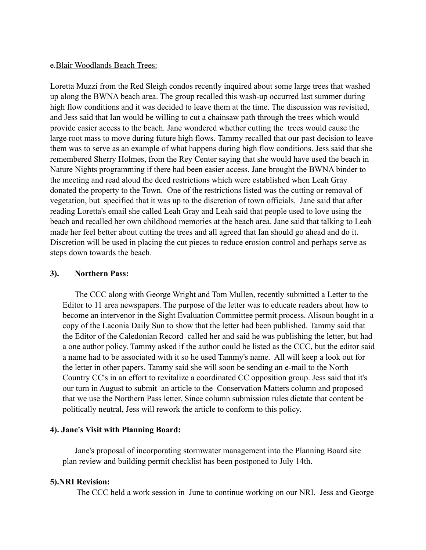#### e.Blair Woodlands Beach Trees:

Loretta Muzzi from the Red Sleigh condos recently inquired about some large trees that washed up along the BWNA beach area. The group recalled this wash-up occurred last summer during high flow conditions and it was decided to leave them at the time. The discussion was revisited, and Jess said that Ian would be willing to cut a chainsaw path through the trees which would provide easier access to the beach. Jane wondered whether cutting the trees would cause the large root mass to move during future high flows. Tammy recalled that our past decision to leave them was to serve as an example of what happens during high flow conditions. Jess said that she remembered Sherry Holmes, from the Rey Center saying that she would have used the beach in Nature Nights programming if there had been easier access. Jane brought the BWNA binder to the meeting and read aloud the deed restrictions which were established when Leah Gray donated the property to the Town. One of the restrictions listed was the cutting or removal of vegetation, but specified that it was up to the discretion of town officials. Jane said that after reading Loretta's email she called Leah Gray and Leah said that people used to love using the beach and recalled her own childhood memories at the beach area. Jane said that talking to Leah made her feel better about cutting the trees and all agreed that Ian should go ahead and do it. Discretion will be used in placing the cut pieces to reduce erosion control and perhaps serve as steps down towards the beach.

#### **3). Northern Pass:**

The CCC along with George Wright and Tom Mullen, recently submitted a Letter to the Editor to 11 area newspapers. The purpose of the letter was to educate readers about how to become an intervenor in the Sight Evaluation Committee permit process. Alisoun bought in a copy of the Laconia Daily Sun to show that the letter had been published. Tammy said that the Editor of the Caledonian Record called her and said he was publishing the letter, but had a one author policy. Tammy asked if the author could be listed as the CCC, but the editor said a name had to be associated with it so he used Tammy's name. All will keep a look out for the letter in other papers. Tammy said she will soon be sending an e-mail to the North Country CC's in an effort to revitalize a coordinated CC opposition group. Jess said that it's our turn in August to submit an article to the Conservation Matters column and proposed that we use the Northern Pass letter. Since column submission rules dictate that content be politically neutral, Jess will rework the article to conform to this policy.

#### **4). Jane's Visit with Planning Board:**

Jane's proposal of incorporating stormwater management into the Planning Board site plan review and building permit checklist has been postponed to July 14th.

## **5).NRI Revision:**

The CCC held a work session in June to continue working on our NRI. Jess and George